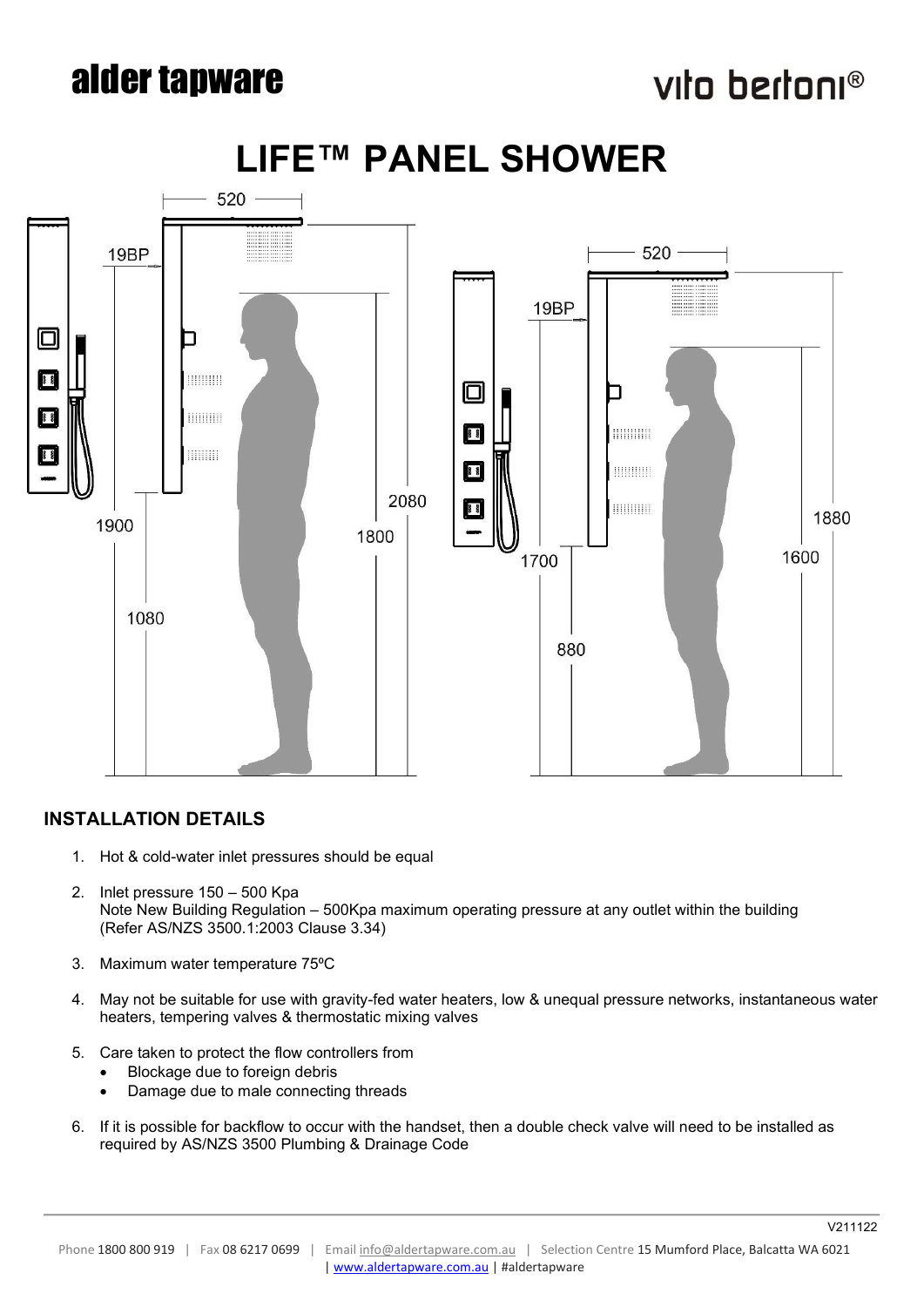# alder tapware

# vita bertani®



# LIFE™ PANEL SHOWER

## INSTALLATION DETAILS

- 1. Hot & cold-water inlet pressures should be equal
- 2. Inlet pressure 150 500 Kpa Note New Building Regulation – 500Kpa maximum operating pressure at any outlet within the building (Refer AS/NZS 3500.1:2003 Clause 3.34)
- 3. Maximum water temperature 75°C
- 4. May not be suitable for use with gravity-fed water heaters, low & unequal pressure networks, instantaneous water heaters, tempering valves & thermostatic mixing valves
- 5. Care taken to protect the flow controllers from
	- Blockage due to foreign debris
	- Damage due to male connecting threads
- 6. If it is possible for backflow to occur with the handset, then a double check valve will need to be installed as required by AS/NZS 3500 Plumbing & Drainage Code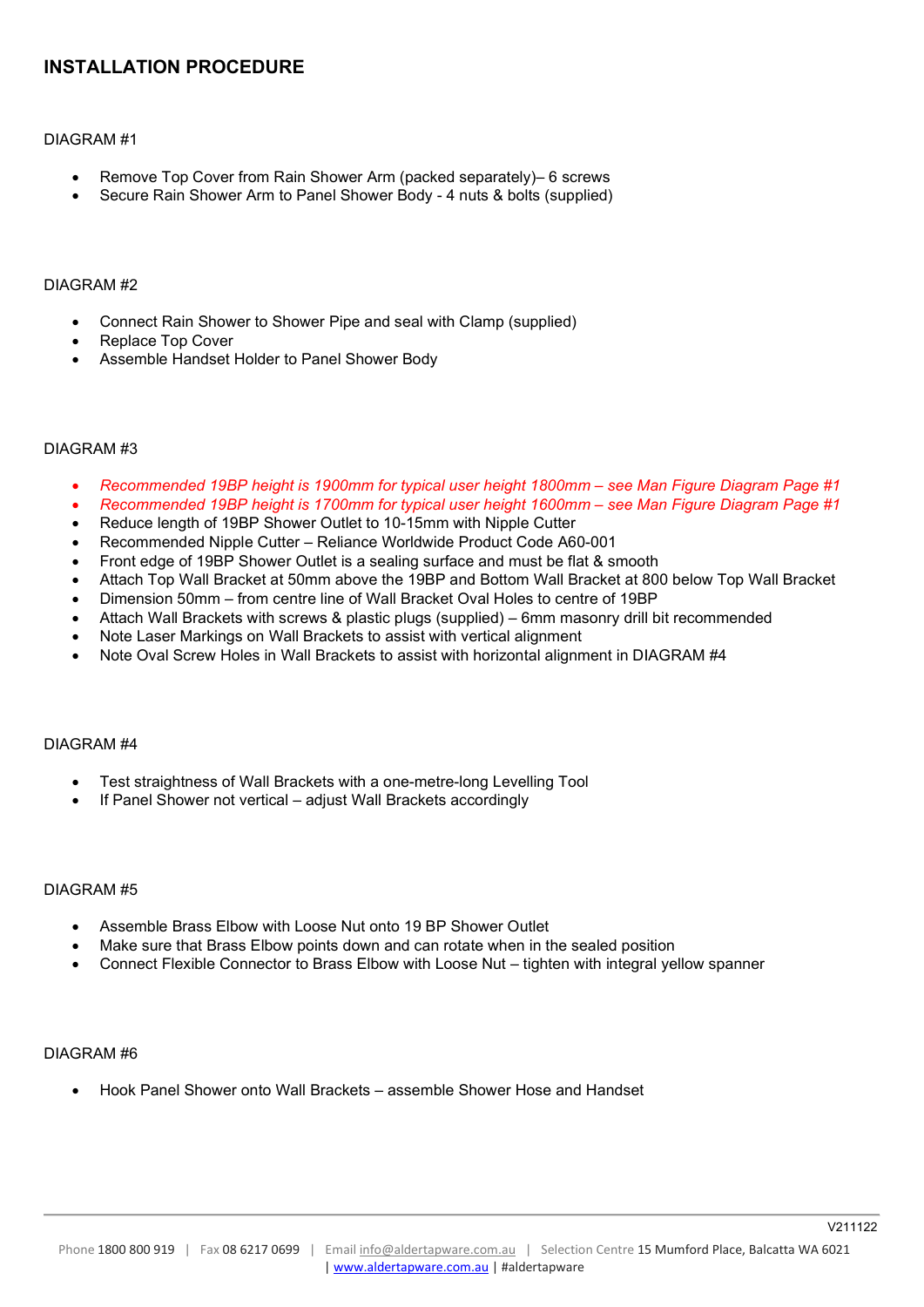### INSTALLATION PROCEDURE

#### DIAGRAM #1

- Remove Top Cover from Rain Shower Arm (packed separately)– 6 screws
- Secure Rain Shower Arm to Panel Shower Body 4 nuts & bolts (supplied)

#### DIAGRAM #2

- Connect Rain Shower to Shower Pipe and seal with Clamp (supplied)
- Replace Top Cover
- Assemble Handset Holder to Panel Shower Body

#### DIAGRAM #3

- Recommended 19BP height is 1900mm for typical user height 1800mm see Man Figure Diagram Page #1
- Recommended 19BP height is 1700mm for typical user height 1600mm see Man Figure Diagram Page #1
- Reduce length of 19BP Shower Outlet to 10-15mm with Nipple Cutter
- Recommended Nipple Cutter Reliance Worldwide Product Code A60-001
- Front edge of 19BP Shower Outlet is a sealing surface and must be flat & smooth
- Attach Top Wall Bracket at 50mm above the 19BP and Bottom Wall Bracket at 800 below Top Wall Bracket
- Dimension 50mm from centre line of Wall Bracket Oval Holes to centre of 19BP
- Attach Wall Brackets with screws & plastic plugs (supplied) 6mm masonry drill bit recommended
- Note Laser Markings on Wall Brackets to assist with vertical alignment
- Note Oval Screw Holes in Wall Brackets to assist with horizontal alignment in DIAGRAM #4

#### DIAGRAM #4

- Test straightness of Wall Brackets with a one-metre-long Levelling Tool
- If Panel Shower not vertical adjust Wall Brackets accordingly

#### DIAGRAM #5

- Assemble Brass Elbow with Loose Nut onto 19 BP Shower Outlet
- Make sure that Brass Elbow points down and can rotate when in the sealed position
- Connect Flexible Connector to Brass Elbow with Loose Nut tighten with integral yellow spanner

### DIAGRAM #6

Hook Panel Shower onto Wall Brackets – assemble Shower Hose and Handset